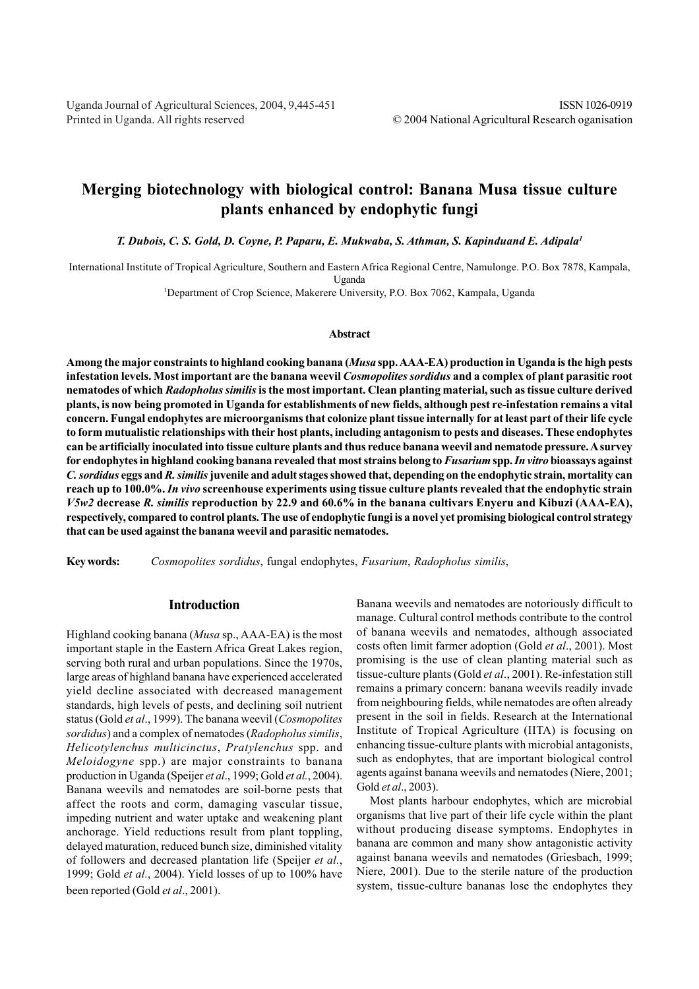# **Merging biotechnology with biological control: Banana Musa tissue culture plants enhanced by endophytic fungi**

*T. Dubois, C. S. Gold, D. Coyne, P. Paparu, E. Mukwaba, S. Athman, S. Kapinduand E. Adipala1*

International Institute of Tropical Agriculture, Southern and Eastern Africa Regional Centre, Namulonge. P.O. Box 7878, Kampala, Uganda

1 Department of Crop Science, Makerere University, P.O. Box 7062, Kampala, Uganda

#### **Abstract**

**Among the major constraints to highland cooking banana (***Musa* **spp. AAA-EA) production in Uganda is the high pests infestation levels. Most important are the banana weevil** *Cosmopolites sordidus* **and a complex of plant parasitic root nematodes of which** *Radopholus similis* **is the most important. Clean planting material, such as tissue culture derived plants, is now being promoted in Uganda for establishments of new fields, although pest re-infestation remains a vital concern. Fungal endophytes are microorganisms that colonize plant tissue internally for at least part of their life cycle to form mutualistic relationships with their host plants, including antagonism to pests and diseases. These endophytes can be artificially inoculated into tissue culture plants and thus reduce banana weevil and nematode pressure. A survey for endophytes in highland cooking banana revealed that most strains belong to** *Fusarium* **spp.** *In vitro* **bioassays against** *C. sordidus* **eggs and** *R. similis* **juvenile and adult stages showed that, depending on the endophytic strain, mortality can reach up to 100.0%.** *In vivo* **screenhouse experiments using tissue culture plants revealed that the endophytic strain** *V5w2* **decrease** *R. similis* **reproduction by 22.9 and 60.6% in the banana cultivars Enyeru and Kibuzi (AAA-EA), respectively, compared to control plants. The use of endophytic fungi is a novel yet promising biological control strategy that can be used against the banana weevil and parasitic nematodes.**

**Key words:** *Cosmopolites sordidus*, fungal endophytes, *Fusarium*, *Radopholus similis*,

### **Introduction**

Highland cooking banana (*Musa* sp., AAA-EA) is the most important staple in the Eastern Africa Great Lakes region, serving both rural and urban populations. Since the 1970s, large areas of highland banana have experienced accelerated yield decline associated with decreased management standards, high levels of pests, and declining soil nutrient status (Gold *et al*., 1999). The banana weevil (*Cosmopolites sordidus*) and a complex of nematodes (*Radopholus similis*, *Helicotylenchus multicinctus*, *Pratylenchus* spp. and *Meloidogyne* spp.) are major constraints to banana production in Uganda (Speijer *et al*., 1999; Gold *et al.*, 2004). Banana weevils and nematodes are soil-borne pests that affect the roots and corm, damaging vascular tissue, impeding nutrient and water uptake and weakening plant anchorage. Yield reductions result from plant toppling, delayed maturation, reduced bunch size, diminished vitality of followers and decreased plantation life (Speijer *et al.*, 1999; Gold *et al.*, 2004). Yield losses of up to 100% have been reported (Gold *et al*., 2001).

Banana weevils and nematodes are notoriously difficult to manage. Cultural control methods contribute to the control of banana weevils and nematodes, although associated costs often limit farmer adoption (Gold *et al*., 2001). Most promising is the use of clean planting material such as tissue-culture plants (Gold *et al*., 2001). Re-infestation still remains a primary concern: banana weevils readily invade from neighbouring fields, while nematodes are often already present in the soil in fields. Research at the International Institute of Tropical Agriculture (IITA) is focusing on enhancing tissue-culture plants with microbial antagonists, such as endophytes, that are important biological control agents against banana weevils and nematodes (Niere, 2001; Gold *et al*., 2003).

Most plants harbour endophytes, which are microbial organisms that live part of their life cycle within the plant without producing disease symptoms. Endophytes in banana are common and many show antagonistic activity against banana weevils and nematodes (Griesbach, 1999; Niere, 2001). Due to the sterile nature of the production system, tissue-culture bananas lose the endophytes they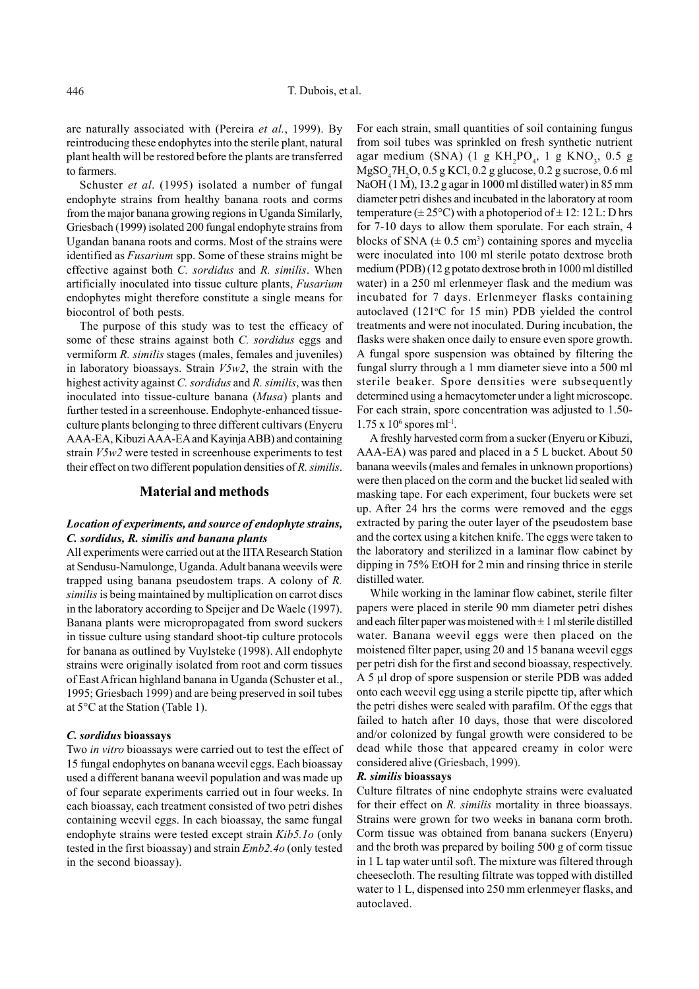are naturally associated with (Pereira *et al.*, 1999). By reintroducing these endophytes into the sterile plant, natural plant health will be restored before the plants are transferred to farmers.

Schuster *et al*. (1995) isolated a number of fungal endophyte strains from healthy banana roots and corms from the major banana growing regions in Uganda Similarly, Griesbach (1999) isolated 200 fungal endophyte strains from Ugandan banana roots and corms. Most of the strains were identified as *Fusarium* spp. Some of these strains might be effective against both *C. sordidus* and *R. similis*. When artificially inoculated into tissue culture plants, *Fusarium* endophytes might therefore constitute a single means for biocontrol of both pests.

The purpose of this study was to test the efficacy of some of these strains against both *C. sordidus* eggs and vermiform *R. similis* stages (males, females and juveniles) in laboratory bioassays. Strain *V5w2*, the strain with the highest activity against *C. sordidus* and *R. similis*, was then inoculated into tissue-culture banana (*Musa*) plants and further tested in a screenhouse. Endophyte-enhanced tissueculture plants belonging to three different cultivars (Enyeru AAA-EA, Kibuzi AAA-EA and Kayinja ABB) and containing strain *V5w2* were tested in screenhouse experiments to test their effect on two different population densities of *R. similis*.

#### **Material and methods**

## *Location of experiments, and source of endophyte strains, C. sordidus, R. similis and banana plants*

All experiments were carried out at the IITA Research Station at Sendusu-Namulonge, Uganda. Adult banana weevils were trapped using banana pseudostem traps. A colony of *R. similis* is being maintained by multiplication on carrot discs in the laboratory according to Speijer and De Waele (1997). Banana plants were micropropagated from sword suckers in tissue culture using standard shoot-tip culture protocols for banana as outlined by Vuylsteke (1998). All endophyte strains were originally isolated from root and corm tissues of East African highland banana in Uganda (Schuster et al., 1995; Griesbach 1999) and are being preserved in soil tubes at 5°C at the Station (Table 1).

#### *C. sordidus* **bioassays**

Two *in vitro* bioassays were carried out to test the effect of 15 fungal endophytes on banana weevil eggs. Each bioassay used a different banana weevil population and was made up of four separate experiments carried out in four weeks. In each bioassay, each treatment consisted of two petri dishes containing weevil eggs. In each bioassay, the same fungal endophyte strains were tested except strain *Kib5.1o* (only tested in the first bioassay) and strain *Emb2.4o* (only tested in the second bioassay).

For each strain, small quantities of soil containing fungus from soil tubes was sprinkled on fresh synthetic nutrient agar medium (SNA) (1 g  $KH_2PO_4$ , 1 g  $KNO_3$ , 0.5 g MgSO4 7H2 O, 0.5 g KCl, 0.2 g glucose, 0.2 g sucrose, 0.6 ml NaOH (1 M), 13.2 g agar in 1000 ml distilled water) in 85 mm diameter petri dishes and incubated in the laboratory at room temperature ( $\pm 25^{\circ}$ C) with a photoperiod of  $\pm 12$ : 12 L: D hrs for 7-10 days to allow them sporulate. For each strain, 4 blocks of SNA  $(\pm 0.5 \text{ cm}^3)$  containing spores and mycelia were inoculated into 100 ml sterile potato dextrose broth medium (PDB) (12 g potato dextrose broth in 1000 ml distilled water) in a 250 ml erlenmeyer flask and the medium was incubated for 7 days. Erlenmeyer flasks containing autoclaved (121°C for 15 min) PDB yielded the control treatments and were not inoculated. During incubation, the flasks were shaken once daily to ensure even spore growth. A fungal spore suspension was obtained by filtering the fungal slurry through a 1 mm diameter sieve into a 500 ml sterile beaker. Spore densities were subsequently determined using a hemacytometer under a light microscope. For each strain, spore concentration was adjusted to 1.50-  $1.75 \times 10^6$  spores ml<sup>-1</sup>.

A freshly harvested corm from a sucker (Enyeru or Kibuzi, AAA-EA) was pared and placed in a 5 L bucket. About 50 banana weevils (males and females in unknown proportions) were then placed on the corm and the bucket lid sealed with masking tape. For each experiment, four buckets were set up. After 24 hrs the corms were removed and the eggs extracted by paring the outer layer of the pseudostem base and the cortex using a kitchen knife. The eggs were taken to the laboratory and sterilized in a laminar flow cabinet by dipping in 75% EtOH for 2 min and rinsing thrice in sterile distilled water.

While working in the laminar flow cabinet, sterile filter papers were placed in sterile 90 mm diameter petri dishes and each filter paper was moistened with  $\pm 1$  ml sterile distilled water. Banana weevil eggs were then placed on the moistened filter paper, using 20 and 15 banana weevil eggs per petri dish for the first and second bioassay, respectively. A 5 µl drop of spore suspension or sterile PDB was added onto each weevil egg using a sterile pipette tip, after which the petri dishes were sealed with parafilm. Of the eggs that failed to hatch after 10 days, those that were discolored and/or colonized by fungal growth were considered to be dead while those that appeared creamy in color were considered alive (Griesbach, 1999).

#### *R. similis* **bioassays**

Culture filtrates of nine endophyte strains were evaluated for their effect on *R. similis* mortality in three bioassays. Strains were grown for two weeks in banana corm broth. Corm tissue was obtained from banana suckers (Enyeru) and the broth was prepared by boiling 500 g of corm tissue in 1 L tap water until soft. The mixture was filtered through cheesecloth. The resulting filtrate was topped with distilled water to 1 L, dispensed into 250 mm erlenmeyer flasks, and autoclaved.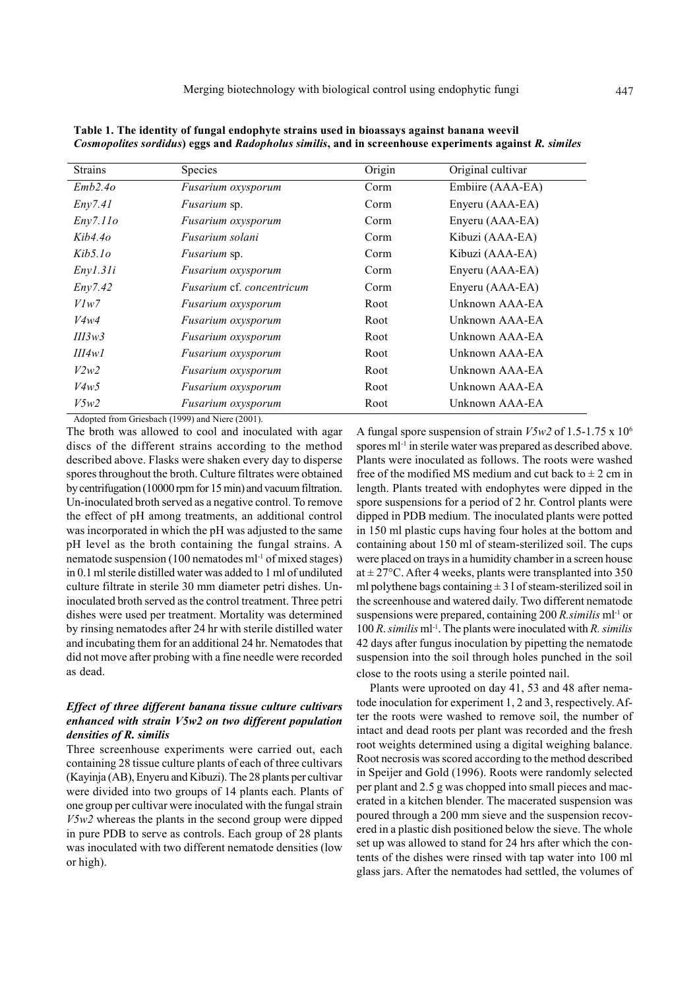| <b>Strains</b> | <b>Species</b>                          | Origin | Original cultivar |
|----------------|-----------------------------------------|--------|-------------------|
| Emb2.40        | Fusarium oxysporum                      | Corm   | Embiire (AAA-EA)  |
| Env7.41        | <i>Fusarium</i> sp.                     | Corm   | Enyeru (AAA-EA)   |
| Eny7.11o       | <i>Fusarium oxysporum</i>               | Corm   | Enyeru (AAA-EA)   |
| $Kib4.4\sigma$ | Fusarium solani                         | Corm   | Kibuzi (AAA-EA)   |
| $Kib5$ lo      | <i>Fusarium</i> sp.                     | Corm   | Kibuzi (AAA-EA)   |
| Enyl.31i       | Fusarium oxysporum                      | Corm   | Enyeru (AAA-EA)   |
| Env7.42        | <i>Fusarium</i> cf. <i>concentricum</i> | Corm   | Enyeru (AAA-EA)   |
| Vlw7           | <i>Fusarium oxysporum</i>               | Root   | Unknown AAA-EA    |
| V4w4           | <i>Fusarium oxysporum</i>               | Root   | Unknown AAA-EA    |
| III3w3         | Fusarium oxysporum                      | Root   | Unknown AAA-EA    |
| III4wI         | <i>Fusarium oxysporum</i>               | Root   | Unknown AAA-EA    |
| V2w2           | Fusarium oxysporum                      | Root   | Unknown AAA-EA    |
| V4w5           | <i>Fusarium oxysporum</i>               | Root   | Unknown AAA-EA    |
| V5w2           | Fusarium oxysporum                      | Root   | Unknown AAA-EA    |

**Table 1. The identity of fungal endophyte strains used in bioassays against banana weevil**  *Cosmopolites sordidus***) eggs and** *Radopholus similis***, and in screenhouse experiments against** *R. similes*

Adopted from Griesbach (1999) and Niere (2001).

The broth was allowed to cool and inoculated with agar discs of the different strains according to the method described above. Flasks were shaken every day to disperse spores throughout the broth. Culture filtrates were obtained by centrifugation (10000 rpm for 15 min) and vacuum filtration. Un-inoculated broth served as a negative control. To remove the effect of pH among treatments, an additional control was incorporated in which the pH was adjusted to the same pH level as the broth containing the fungal strains. A nematode suspension (100 nematodes ml-1 of mixed stages) in 0.1 ml sterile distilled water was added to 1 ml of undiluted culture filtrate in sterile 30 mm diameter petri dishes. Uninoculated broth served as the control treatment. Three petri dishes were used per treatment. Mortality was determined by rinsing nematodes after 24 hr with sterile distilled water and incubating them for an additional 24 hr. Nematodes that did not move after probing with a fine needle were recorded as dead.

# *Effect of three different banana tissue culture cultivars enhanced with strain V5w2 on two different population densities of R. similis*

Three screenhouse experiments were carried out, each containing 28 tissue culture plants of each of three cultivars (Kayinja (AB), Enyeru and Kibuzi). The 28 plants per cultivar were divided into two groups of 14 plants each. Plants of one group per cultivar were inoculated with the fungal strain *V5w2* whereas the plants in the second group were dipped in pure PDB to serve as controls. Each group of 28 plants was inoculated with two different nematode densities (low or high).

A fungal spore suspension of strain *V5w2* of 1.5-1.75 x 106 spores ml<sup>-1</sup> in sterile water was prepared as described above. Plants were inoculated as follows. The roots were washed free of the modified MS medium and cut back to  $\pm 2$  cm in length. Plants treated with endophytes were dipped in the spore suspensions for a period of 2 hr. Control plants were dipped in PDB medium. The inoculated plants were potted in 150 ml plastic cups having four holes at the bottom and containing about 150 ml of steam-sterilized soil. The cups were placed on trays in a humidity chamber in a screen house at  $\pm$  27°C. After 4 weeks, plants were transplanted into 350 ml polythene bags containing  $\pm 3$  l of steam-sterilized soil in the screenhouse and watered daily. Two different nematode suspensions were prepared, containing 200 *R.similis* ml<sup>-1</sup> or 100 *R*. *similis* ml-1. The plants were inoculated with *R. similis* 42 days after fungus inoculation by pipetting the nematode suspension into the soil through holes punched in the soil close to the roots using a sterile pointed nail.

Plants were uprooted on day 41, 53 and 48 after nematode inoculation for experiment 1, 2 and 3, respectively. After the roots were washed to remove soil, the number of intact and dead roots per plant was recorded and the fresh root weights determined using a digital weighing balance. Root necrosis was scored according to the method described in Speijer and Gold (1996). Roots were randomly selected per plant and 2.5 g was chopped into small pieces and macerated in a kitchen blender. The macerated suspension was poured through a 200 mm sieve and the suspension recovered in a plastic dish positioned below the sieve. The whole set up was allowed to stand for 24 hrs after which the contents of the dishes were rinsed with tap water into 100 ml glass jars. After the nematodes had settled, the volumes of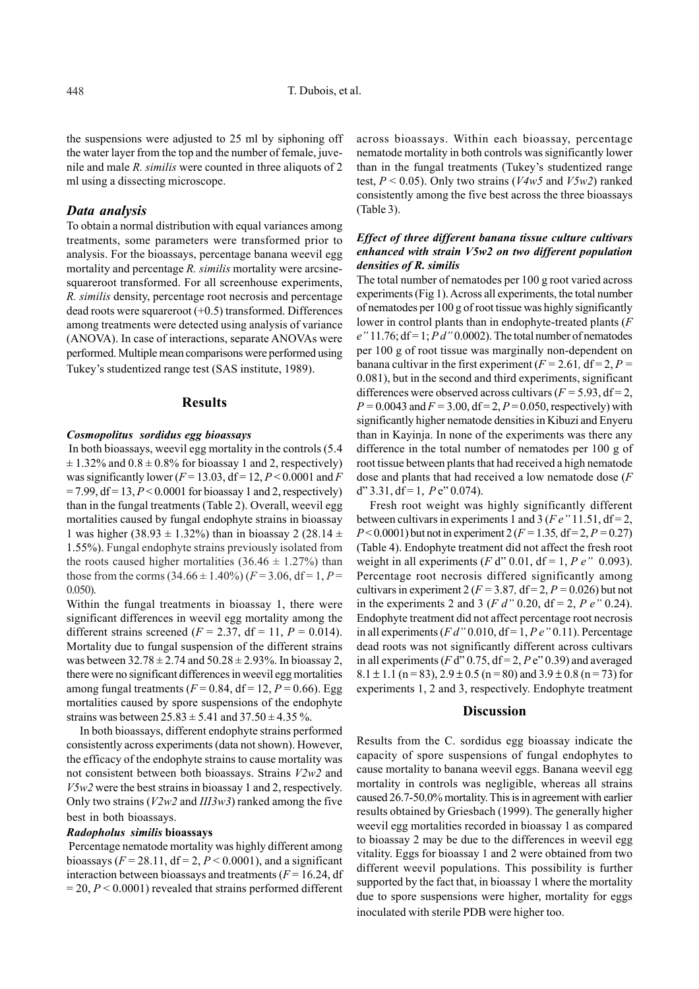the suspensions were adjusted to 25 ml by siphoning off the water layer from the top and the number of female, juvenile and male *R. similis* were counted in three aliquots of 2 ml using a dissecting microscope.

## *Data analysis*

To obtain a normal distribution with equal variances among treatments, some parameters were transformed prior to analysis. For the bioassays, percentage banana weevil egg mortality and percentage *R. similis* mortality were arcsinesquareroot transformed. For all screenhouse experiments, *R. similis* density, percentage root necrosis and percentage dead roots were squareroot (+0.5) transformed. Differences among treatments were detected using analysis of variance (ANOVA). In case of interactions, separate ANOVAs were performed. Multiple mean comparisons were performed using Tukey's studentized range test (SAS institute, 1989).

#### **Results**

#### *Cosmopolitus sordidus egg bioassays*

In both bioassays, weevil egg mortality in the controls (5.4  $\pm$  1.32% and 0.8  $\pm$  0.8% for bioassay 1 and 2, respectively) was significantly lower  $(F = 13.03, df = 12, P < 0.0001$  and *F*  $= 7.99$ , df  $= 13$ ,  $P < 0.0001$  for bioassay 1 and 2, respectively) than in the fungal treatments (Table 2). Overall, weevil egg mortalities caused by fungal endophyte strains in bioassay 1 was higher (38.93  $\pm$  1.32%) than in bioassay 2 (28.14  $\pm$ 1.55%). Fungal endophyte strains previously isolated from the roots caused higher mortalities  $(36.46 \pm 1.27\%)$  than those from the corms  $(34.66 \pm 1.40\%)$   $(F = 3.06, df = 1, P =$ 0.050).

Within the fungal treatments in bioassay 1, there were significant differences in weevil egg mortality among the different strains screened ( $F = 2.37$ , df = 11,  $P = 0.014$ ). Mortality due to fungal suspension of the different strains was between  $32.78 \pm 2.74$  and  $50.28 \pm 2.93$ %. In bioassay 2, there were no significant differences in weevil egg mortalities among fungal treatments  $(F = 0.84, df = 12, P = 0.66)$ . Egg mortalities caused by spore suspensions of the endophyte strains was between  $25.83 \pm 5.41$  and  $37.50 \pm 4.35$ %.

In both bioassays, different endophyte strains performed consistently across experiments (data not shown). However, the efficacy of the endophyte strains to cause mortality was not consistent between both bioassays. Strains *V2w2* and *V5w2* were the best strains in bioassay 1 and 2, respectively. Only two strains (*V2w2* and *III3w3*) ranked among the five best in both bioassays.

#### *Radopholus similis* **bioassays**

Percentage nematode mortality was highly different among bioassays (*F* = 28.11, df = 2, *P* < 0.0001), and a significant interaction between bioassays and treatments  $(F = 16.24, df)$  $= 20, P < 0.0001$  revealed that strains performed different

across bioassays. Within each bioassay, percentage nematode mortality in both controls was significantly lower than in the fungal treatments (Tukey's studentized range test, *P* < 0.05). Only two strains (*V4w5* and *V5w2*) ranked consistently among the five best across the three bioassays (Table 3).

# *Effect of three different banana tissue culture cultivars enhanced with strain V5w2 on two different population densities of R. similis*

The total number of nematodes per 100 g root varied across experiments (Fig 1). Across all experiments, the total number of nematodes per 100 g of root tissue was highly significantly lower in control plants than in endophyte-treated plants (*F e"* 11.76; df = 1; *P d"* 0.0002). The total number of nematodes per 100 g of root tissue was marginally non-dependent on banana cultivar in the first experiment ( $F = 2.61$ ,  $df = 2$ ,  $P =$ 0.081), but in the second and third experiments, significant differences were observed across cultivars  $(F = 5.93, df = 2,$  $P = 0.0043$  and  $F = 3.00$ , df = 2,  $P = 0.050$ , respectively) with significantly higher nematode densities in Kibuzi and Enyeru than in Kayinja. In none of the experiments was there any difference in the total number of nematodes per 100 g of root tissue between plants that had received a high nematode dose and plants that had received a low nematode dose (*F*  $d''$  3.31,  $df = 1$ ,  $P e''$  0.074).

Fresh root weight was highly significantly different between cultivars in experiments 1 and 3 ( $Fe$   $\degree$  11.51, df = 2, *P* < 0.0001) but not in experiment 2 ( $F = 1.35$ , df = 2,  $P = 0.27$ ) (Table 4). Endophyte treatment did not affect the fresh root weight in all experiments (*F* d<sup>"</sup> 0.01, df = 1, *P e*<sup>"</sup> 0.093). Percentage root necrosis differed significantly among cultivars in experiment 2 ( $F = 3.87$ , df = 2,  $P = 0.026$ ) but not in the experiments 2 and 3 (*F d*" 0.20, df = 2, *P e*" 0.24). Endophyte treatment did not affect percentage root necrosis in all experiments ( $Fd''$  0.010, df = 1,  $Pe''$  0.11). Percentage dead roots was not significantly different across cultivars in all experiments ( $F d'' 0.75$ ,  $df = 2$ ,  $Pe'' 0.39$ ) and averaged  $8.1 \pm 1.1$  (n = 83),  $2.9 \pm 0.5$  (n = 80) and  $3.9 \pm 0.8$  (n = 73) for experiments 1, 2 and 3, respectively. Endophyte treatment

## **Discussion**

Results from the C. sordidus egg bioassay indicate the capacity of spore suspensions of fungal endophytes to cause mortality to banana weevil eggs. Banana weevil egg mortality in controls was negligible, whereas all strains caused 26.7-50.0% mortality. This is in agreement with earlier results obtained by Griesbach (1999). The generally higher weevil egg mortalities recorded in bioassay 1 as compared to bioassay 2 may be due to the differences in weevil egg vitality. Eggs for bioassay 1 and 2 were obtained from two different weevil populations. This possibility is further supported by the fact that, in bioassay 1 where the mortality due to spore suspensions were higher, mortality for eggs inoculated with sterile PDB were higher too.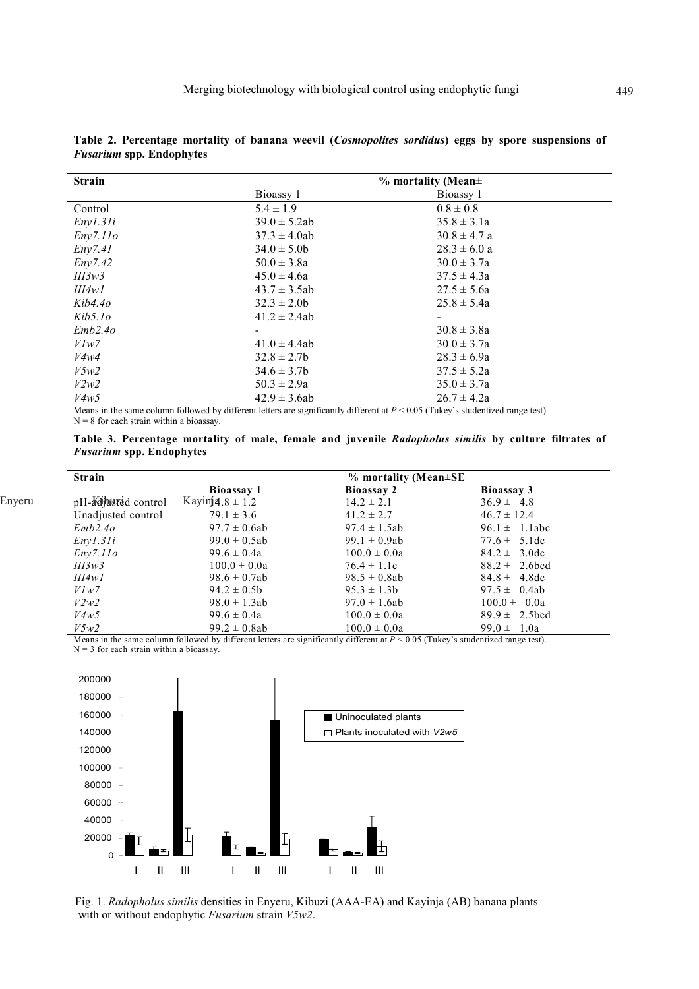| <b>Strain</b> |                   | $%$ mortality (Mean $\pm$ |  |
|---------------|-------------------|---------------------------|--|
|               | Bioassy 1         | Bioassy 1                 |  |
| Control       | $5.4 \pm 1.9$     | $0.8 \pm 0.8$             |  |
| Enyl.31i      | $39.0 \pm 5.2ab$  | $35.8 \pm 3.1a$           |  |
| Eny7.11o      | $37.3 \pm 4.0$ ab | $30.8 \pm 4.7$ a          |  |
| Eny7.41       | $34.0 \pm 5.0$    | $28.3 \pm 6.0 a$          |  |
| Env7.42       | $50.0 \pm 3.8a$   | $30.0 \pm 3.7a$           |  |
| III3w3        | $45.0 \pm 4.6a$   | $37.5 \pm 4.3a$           |  |
| III4w1        | $43.7 \pm 3.5ab$  | $27.5 \pm 5.6a$           |  |
| Kib4.4o       | $32.3 \pm 2.0$    | $25.8 \pm 5.4a$           |  |
| Kib5.1o       | $41.2 \pm 2.4ab$  |                           |  |
| Emb2.40       |                   | $30.8 \pm 3.8a$           |  |
| Vlw7          | $41.0 \pm 4.4ab$  | $30.0 \pm 3.7a$           |  |
| V4w4          | $32.8 \pm 2.7$    | $28.3 \pm 6.9a$           |  |
| V5w2          | $34.6 \pm 3.7b$   | $37.5 \pm 5.2a$           |  |
| V2w2          | $50.3 \pm 2.9a$   | $35.0 \pm 3.7a$           |  |
| V4w5          | $42.9 \pm 3.6ab$  | $26.7 \pm 4.2a$           |  |

**Table 2. Percentage mortality of banana weevil (***Cosmopolites sordidus***) eggs by spore suspensions of**  *Fusarium* **spp. Endophytes** 

Means in the same column followed by different letters are significantly different at  $P < 0.05$  (Tukey's studentized range test).  $N = 8$  for each strain within a bioassay.

**Table 3. Percentage mortality of male, female and juvenile** *Radopholus similis* **by culture filtrates of**  *Fusarium* **spp. Endophytes** 

| <b>Strain</b>       |                              | $%$ mortality (Mean $\pm$ SE |                    |
|---------------------|------------------------------|------------------------------|--------------------|
|                     | Bioassay 1                   | <b>Bioassay 2</b>            | Bioassay 3         |
| pH-Kijuszed control | Kayin <b>ja</b> $.8 \pm 1.2$ | $14.2 \pm 2.1$               | $36.9 \pm 4.8$     |
| Unadjusted control  | $79.1 \pm 3.6$               | $41.2 \pm 2.7$               | $46.7 \pm 12.4$    |
| Emb2.40             | $97.7 \pm 0.6ab$             | $97.4 \pm 1.5ab$             | $96.1 \pm 1.1$ abc |
| Enyl.31i            | $99.0 \pm 0.5$ ab            | $99.1 \pm 0.9ab$             | $77.6 \pm 5.1$ dc  |
| Eny7.11o            | $99.6 \pm 0.4a$              | $100.0 \pm 0.0a$             | $84.2 \pm 3.0$ dc  |
| III3w3              | $100.0 \pm 0.0a$             | $76.4 \pm 1.1c$              | $88.2 \pm 2.6$ bcd |
| III4w1              | $98.6 \pm 0.7ab$             | $98.5 \pm 0.8ab$             | $84.8 \pm 4.8$ dc  |
| Vlw7                | $94.2 \pm 0.5b$              | $95.3 \pm 1.3b$              | $97.5 \pm 0.4ab$   |
| V2w2                | $98.0 \pm 1.3ab$             | $97.0 \pm 1.6ab$             | $100.0 \pm 0.0a$   |
| V4w5                | $99.6 \pm 0.4a$              | $100.0 \pm 0.0a$             | $89.9 \pm 2.5$ bcd |
| V5w2                | $99.2 \pm 0.8$ ab            | $100.0 \pm 0.0a$             | $99.0 \pm 1.0a$    |

Means in the same column followed by different letters are significantly different at  $P < 0.05$  (Tukey's studentized range test).  $N = 3$  for each strain within a bioassay.



Enyeru

Fig. 1. *Radopholus similis* densities in Enyeru, Kibuzi (AAA-EA) and Kayinja (AB) banana plants with or without endophytic *Fusarium* strain *V5w2*.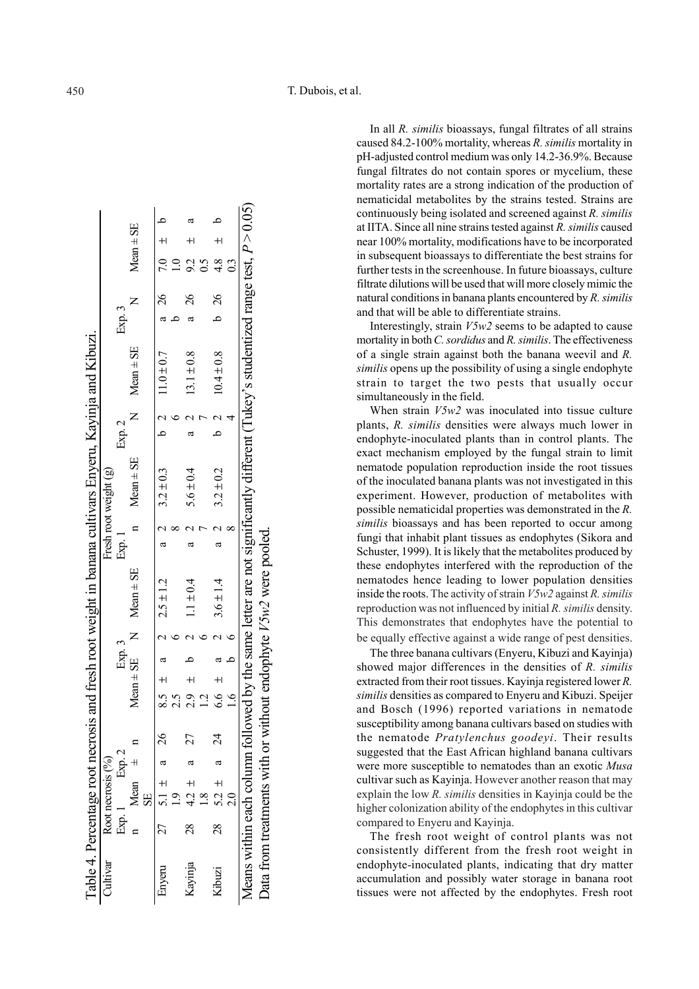In all *R. similis* bioassays, fungal filtrates of all strains caused 84.2-100% mortality, whereas *R. similis* mortality in pH-adjusted control medium was only 14.2-36.9%. Because fungal filtrates do not contain spores or mycelium, these mortality rates are a strong indication of the production of nematicidal metabolites by the strains tested. Strains are continuously being isolated and screened against *R. similis* at IITA. Since all nine strains tested against *R. similis* caused near 100% mortality, modifications have to be incorporated in subsequent bioassays to differentiate the best strains for further tests in the screenhouse. In future bioassays, culture filtrate dilutions will be used that will more closely mimic the natural conditions in banana plants encountered by *R. similis* and that will be able to differentiate strains.

Interestingly, strain *V5w2* seems to be adapted to cause mortality in both *C. sordidus* and *R. similis*. The effectiveness of a single strain against both the banana weevil and *R. similis* opens up the possibility of using a single endophyte strain to target the two pests that usually occur simultaneously in the field.

When strain *V5w2* was inoculated into tissue culture plants, *R. similis* densities were always much lower in endophyte-inoculated plants than in control plants. The exact mechanism employed by the fungal strain to limit nematode population reproduction inside the root tissues of the inoculated banana plants was not investigated in this experiment. However, production of metabolites with possible nematicidal properties was demonstrated in the *R. similis* bioassays and has been reported to occur among fungi that inhabit plant tissues as endophytes (Sikora and Schuster, 1999). It is likely that the metabolites produced by these endophytes interfered with the reproduction of the nematodes hence leading to lower population densities inside the roots. The activity of strain *V5w2* against *R. similis* reproduction was not influenced by initial *R. similis* density. This demonstrates that endophytes have the potential to be equally effective against a wide range of pest densities.

The three banana cultivars (Enyeru, Kibuzi and Kayinja) showed major differences in the densities of *R. similis* extracted from their root tissues. Kayinja registered lower *R. similis* densities as compared to Enyeru and Kibuzi. Speijer and Bosch (1996) reported variations in nematode susceptibility among banana cultivars based on studies with the nematode *Pratylenchus goodeyi*. Their results suggested that the East African highland banana cultivars were more susceptible to nematodes than an exotic *Musa* cultivar such as Kayinja. However another reason that may explain the low *R. similis* densities in Kayinja could be the higher colonization ability of the endophytes in this cultivar compared to Enyeru and Kayinja.

The fresh root weight of control plants was not consistently different from the fresh root weight in endophyte-inoculated plants, indicating that dry matter accumulation and possibly water storage in banana root tissues were not affected by the endophytes. Fresh root

|            |                        |  |                |                |        |                                                                    |        |                       |        | Table 4. Percentage root necrosis and fresh root weight in banana cultivars Enyeru, Kayinja and Kibuzi.                            |                |                           |  |
|------------|------------------------|--|----------------|----------------|--------|--------------------------------------------------------------------|--------|-----------------------|--------|------------------------------------------------------------------------------------------------------------------------------------|----------------|---------------------------|--|
| Cultivar   | Root necrosis (%)      |  |                |                |        |                                                                    |        | Fresh root weight (g) |        |                                                                                                                                    |                |                           |  |
|            | Exp. 1 Exp. 2          |  |                |                | Exp. 3 |                                                                    | Exp. 1 |                       | Exp. 2 |                                                                                                                                    | Exp. 3         |                           |  |
|            | $n$ Mean $\pm$ n<br>SE |  |                |                |        | $Mean \pm SE$ N $Mean \pm SE$                                      |        | $n$ Mean $\pm$ SE     |        | $N$ Mean $\pm$ SE                                                                                                                  |                | $Mean \pm SE$             |  |
| Enyeru     | $27$ 5.1 $\pm$ a 26    |  |                |                |        | 8.5 $\pm$ a 2 2.5 $\pm$ 1.2                                        |        | a 2 $3.2 \pm 0.3$     |        | b 2 $11.0 \pm 0.7$                                                                                                                 | a 26           | $7.0 \pm 0.7$             |  |
|            |                        |  |                |                |        |                                                                    |        |                       |        |                                                                                                                                    |                |                           |  |
| Kayinja 28 | $4.2 \pm a$ 27<br>1.8  |  |                | $2.9 \pm$      |        | $1.1 \pm 0.4$                                                      | a      | $5.6 \pm 0.4$         |        | $13.1 \pm 0.8$                                                                                                                     | $\frac{26}{5}$ | $9.2 \pm$                 |  |
|            |                        |  |                |                |        |                                                                    |        |                       |        |                                                                                                                                    |                | $\widetilde{\phantom{a}}$ |  |
| Kibuzi     | 28 5.2 $\pm$ a 24      |  |                | $6.6 \pm a$    |        | $3.6 \pm 1.4$                                                      |        | $3.2 \pm 0.2$         |        | $10.4 \pm 0.8$                                                                                                                     | b 26           | $4.8 +$                   |  |
|            |                        |  | $\overline{a}$ | $\overline{a}$ |        |                                                                    |        |                       |        |                                                                                                                                    |                | $\overline{0}$            |  |
|            |                        |  |                |                |        |                                                                    |        |                       |        | Leans within each column followed by the same letter are not significantly different (Tukey's studentized range test, $P > 0.05$ ) |                |                           |  |
|            |                        |  |                |                |        | Data from treatments with or without endophyte $V5w2$ were pooled. |        |                       |        |                                                                                                                                    |                |                           |  |